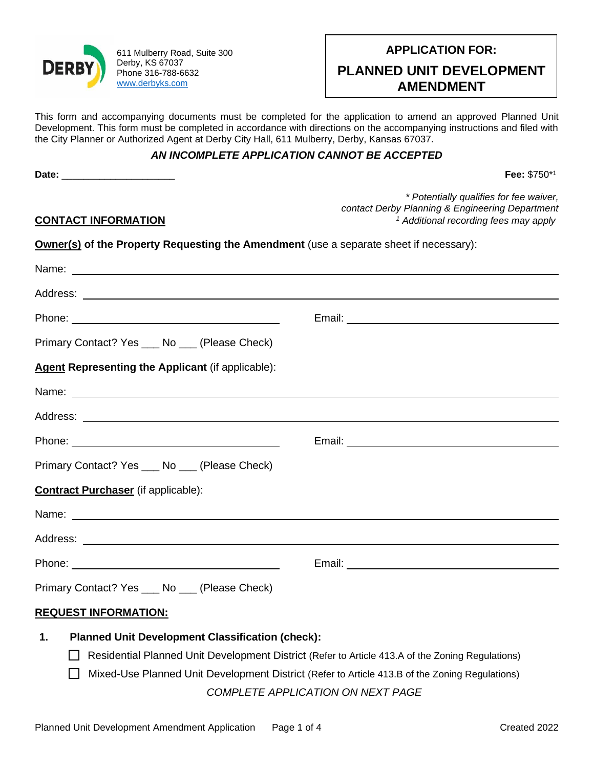

611 Mulberry Road, Suite 300 Derby, KS 67037 Phone 316-788-6632 [www.derbyks.com](http://www.derbyks.com/)

| PLANNED UNIT DEVELOPMENT<br><b>AMENDMENT</b> |  |
|----------------------------------------------|--|
|                                              |  |

This form and accompanying documents must be completed for the application to amend an approved Planned Unit Development. This form must be completed in accordance with directions on the accompanying instructions and filed with the City Planner or Authorized Agent at Derby City Hall, 611 Mulberry, Derby, Kansas 67037.

## *AN INCOMPLETE APPLICATION CANNOT BE ACCEPTED*

**Date:** \_\_\_\_\_\_\_\_\_\_\_\_\_\_\_\_\_\_\_\_\_ **Fee:** \$750\*<sup>1</sup>

**CONTACT INFORMATION**

*\* Potentially qualifies for fee waiver, contact Derby Planning & Engineering Department <sup>1</sup> Additional recording fees may apply*

**Owner(s) of the Property Requesting the Amendment** (use a separate sheet if necessary):

| Name: Name:                                                                                                                                                              |                                                  |  |
|--------------------------------------------------------------------------------------------------------------------------------------------------------------------------|--------------------------------------------------|--|
|                                                                                                                                                                          |                                                  |  |
|                                                                                                                                                                          | Email: <u>Communication of the Communication</u> |  |
| Primary Contact? Yes ____ No ___ (Please Check)                                                                                                                          |                                                  |  |
| <b>Agent Representing the Applicant (if applicable):</b>                                                                                                                 |                                                  |  |
| Name: Name:                                                                                                                                                              |                                                  |  |
|                                                                                                                                                                          |                                                  |  |
|                                                                                                                                                                          |                                                  |  |
| Primary Contact? Yes ____ No ____ (Please Check)                                                                                                                         |                                                  |  |
| <b>Contract Purchaser</b> (if applicable):                                                                                                                               |                                                  |  |
|                                                                                                                                                                          |                                                  |  |
|                                                                                                                                                                          |                                                  |  |
|                                                                                                                                                                          |                                                  |  |
| Primary Contact? Yes ____ No ____ (Please Check)                                                                                                                         |                                                  |  |
| <b>REQUEST INFORMATION:</b>                                                                                                                                              |                                                  |  |
| <b>Planned Unit Development Classification (check):</b><br>1.<br>$\Box$ Desidential Dlanned Unit Development District (Peter to Article 412 A of the Zening Pequlations) |                                                  |  |

- Residential Planned Unit Development District (Refer to Article 413.A of the Zoning Regulations)
- Mixed-Use Planned Unit Development District (Refer to Article 413.B of the Zoning Regulations) *COMPLETE APPLICATION ON NEXT PAGE*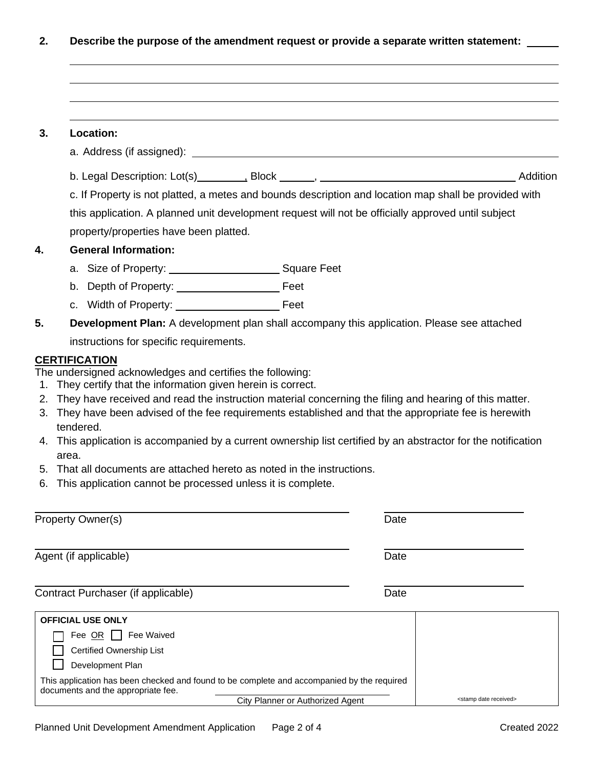**2. Describe the purpose of the amendment request or provide a separate written statement:** 

| 3.       | <b>Location:</b>                                                                                                                                                                                                                                                                                                                                                                      |                                     |
|----------|---------------------------------------------------------------------------------------------------------------------------------------------------------------------------------------------------------------------------------------------------------------------------------------------------------------------------------------------------------------------------------------|-------------------------------------|
|          |                                                                                                                                                                                                                                                                                                                                                                                       |                                     |
|          |                                                                                                                                                                                                                                                                                                                                                                                       |                                     |
|          | c. If Property is not platted, a metes and bounds description and location map shall be provided with<br>this application. A planned unit development request will not be officially approved until subject<br>property/properties have been platted.                                                                                                                                 |                                     |
| 4.       | <b>General Information:</b>                                                                                                                                                                                                                                                                                                                                                           |                                     |
|          |                                                                                                                                                                                                                                                                                                                                                                                       |                                     |
|          |                                                                                                                                                                                                                                                                                                                                                                                       |                                     |
|          |                                                                                                                                                                                                                                                                                                                                                                                       |                                     |
| 5.       | <b>Development Plan:</b> A development plan shall accompany this application. Please see attached                                                                                                                                                                                                                                                                                     |                                     |
|          | instructions for specific requirements.                                                                                                                                                                                                                                                                                                                                               |                                     |
| 5.<br>6. | 3. They have been advised of the fee requirements established and that the appropriate fee is herewith<br>tendered.<br>4. This application is accompanied by a current ownership list certified by an abstractor for the notification<br>area.<br>That all documents are attached hereto as noted in the instructions.<br>This application cannot be processed unless it is complete. |                                     |
|          | Property Owner(s)                                                                                                                                                                                                                                                                                                                                                                     | Date                                |
|          | Agent (if applicable)                                                                                                                                                                                                                                                                                                                                                                 | Date                                |
|          | Contract Purchaser (if applicable)                                                                                                                                                                                                                                                                                                                                                    | Date                                |
|          | <b>OFFICIAL USE ONLY</b>                                                                                                                                                                                                                                                                                                                                                              |                                     |
|          | Fee $OR$    <br>Fee Waived                                                                                                                                                                                                                                                                                                                                                            |                                     |
|          | Certified Ownership List                                                                                                                                                                                                                                                                                                                                                              |                                     |
|          | Development Plan                                                                                                                                                                                                                                                                                                                                                                      |                                     |
|          | This application has been checked and found to be complete and accompanied by the required<br>documents and the appropriate fee.                                                                                                                                                                                                                                                      |                                     |
|          | City Planner or Authorized Agent                                                                                                                                                                                                                                                                                                                                                      | <stamp date="" received=""></stamp> |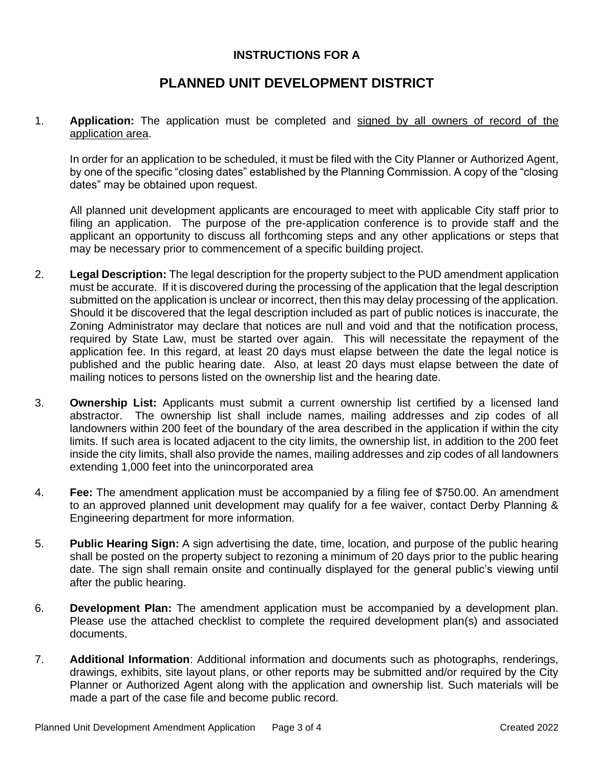## **INSTRUCTIONS FOR A**

## **PLANNED UNIT DEVELOPMENT DISTRICT**

1. **Application:** The application must be completed and signed by all owners of record of the application area.

In order for an application to be scheduled, it must be filed with the City Planner or Authorized Agent, by one of the specific "closing dates" established by the Planning Commission. A copy of the "closing dates" may be obtained upon request.

All planned unit development applicants are encouraged to meet with applicable City staff prior to filing an application. The purpose of the pre-application conference is to provide staff and the applicant an opportunity to discuss all forthcoming steps and any other applications or steps that may be necessary prior to commencement of a specific building project.

- 2. **Legal Description:** The legal description for the property subject to the PUD amendment application must be accurate. If it is discovered during the processing of the application that the legal description submitted on the application is unclear or incorrect, then this may delay processing of the application. Should it be discovered that the legal description included as part of public notices is inaccurate, the Zoning Administrator may declare that notices are null and void and that the notification process, required by State Law, must be started over again. This will necessitate the repayment of the application fee. In this regard, at least 20 days must elapse between the date the legal notice is published and the public hearing date. Also, at least 20 days must elapse between the date of mailing notices to persons listed on the ownership list and the hearing date.
- 3. **Ownership List:** Applicants must submit a current ownership list certified by a licensed land abstractor. The ownership list shall include names, mailing addresses and zip codes of all landowners within 200 feet of the boundary of the area described in the application if within the city limits. If such area is located adjacent to the city limits, the ownership list, in addition to the 200 feet inside the city limits, shall also provide the names, mailing addresses and zip codes of all landowners extending 1,000 feet into the unincorporated area
- 4. **Fee:** The amendment application must be accompanied by a filing fee of \$750.00. An amendment to an approved planned unit development may qualify for a fee waiver, contact Derby Planning & Engineering department for more information.
- 5. **Public Hearing Sign:** A sign advertising the date, time, location, and purpose of the public hearing shall be posted on the property subject to rezoning a minimum of 20 days prior to the public hearing date. The sign shall remain onsite and continually displayed for the general public's viewing until after the public hearing.
- 6. **Development Plan:** The amendment application must be accompanied by a development plan. Please use the attached checklist to complete the required development plan(s) and associated documents.
- 7. **Additional Information**: Additional information and documents such as photographs, renderings, drawings, exhibits, site layout plans, or other reports may be submitted and/or required by the City Planner or Authorized Agent along with the application and ownership list. Such materials will be made a part of the case file and become public record.